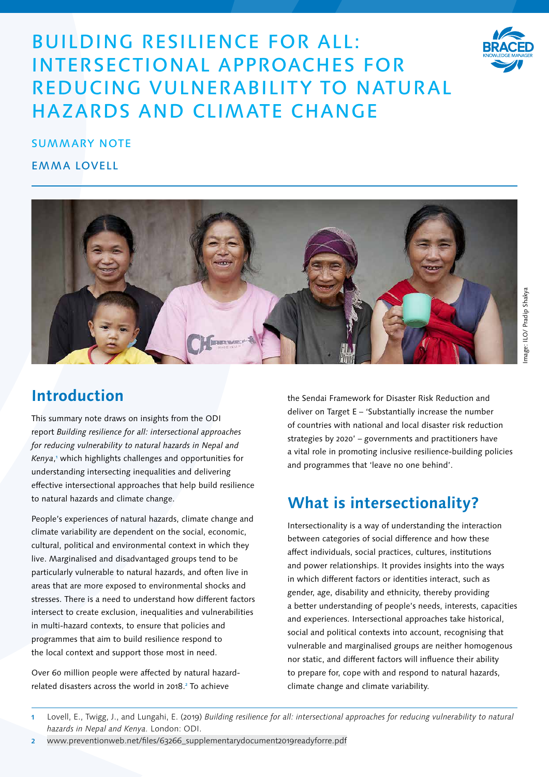# BUILDING RESILIENCE FOR ALL: INTERSECTIONAL APPROACHES FOR REDUCING VULNERABILITY TO NATURAL HAZARDS AND CLIMATE CHANGE



## SUMMARY NOTE

## EMMA LOVELL



# **Introduction**

This summary note draws on insights from the ODI report *Building resilience for all: intersectional approaches for reducing vulnerability to natural hazards in Nepal and Kenya*, 1 which highlights challenges and opportunities for understanding intersecting inequalities and delivering effective intersectional approaches that help build resilience to natural hazards and climate change.

People's experiences of natural hazards, climate change and climate variability are dependent on the social, economic, cultural, political and environmental context in which they live. Marginalised and disadvantaged groups tend to be particularly vulnerable to natural hazards, and often live in areas that are more exposed to environmental shocks and stresses. There is a need to understand how different factors intersect to create exclusion, inequalities and vulnerabilities in multi-hazard contexts, to ensure that policies and programmes that aim to build resilience respond to the local context and support those most in need.

Over 60 million people were affected by natural hazardrelated disasters across the world in 2018.<sup>2</sup> To achieve

the Sendai Framework for Disaster Risk Reduction and deliver on Target E – 'Substantially increase the number of countries with national and local disaster risk reduction strategies by 2020' – governments and practitioners have a vital role in promoting inclusive resilience-building policies and programmes that 'leave no one behind'.

# **What is intersectionality?**

Intersectionality is a way of understanding the interaction between categories of social difference and how these affect individuals, social practices, cultures, institutions and power relationships. It provides insights into the ways in which different factors or identities interact, such as gender, age, disability and ethnicity, thereby providing a better understanding of people's needs, interests, capacities and experiences. Intersectional approaches take historical, social and political contexts into account, recognising that vulnerable and marginalised groups are neither homogenous nor static, and different factors will influence their ability to prepare for, cope with and respond to natural hazards, climate change and climate variability.

2 [www.preventionweb.net/files/63266\\_supplementarydocument2019readyforre.pdf](http://www.preventionweb.net/files/63266_supplementarydocument2019readyforre.pdf)

Lovell, E., Twigg, J., and Lungahi, E. (2019) Building resilience for all: intersectional approaches for reducing vulnerability to natural hazards in Nepal and Kenya. London: ODI.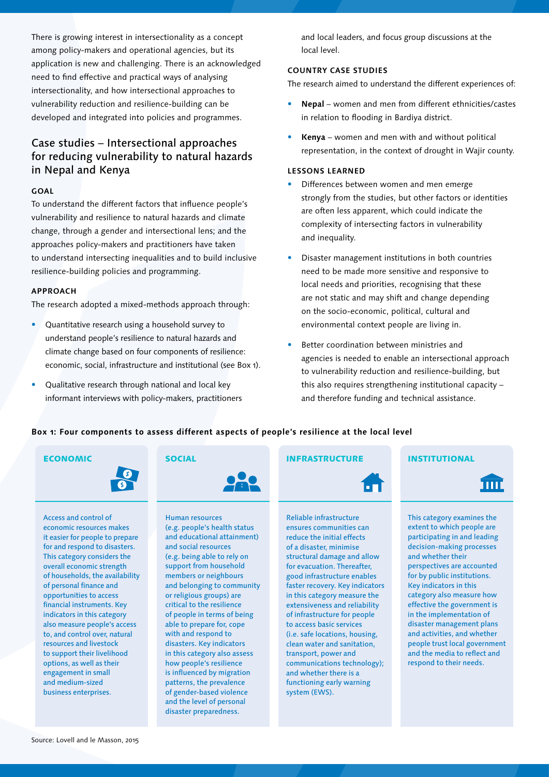There is growing interest in intersectionality as a concept among policy-makers and operational agencies, but its application is new and challenging. There is an acknowledged need to find effective and practical ways of analysing intersectionality, and how intersectional approaches to vulnerability reduction and resilience-building can be developed and integrated into policies and programmes.

## Case studies – Intersectional approaches for reducing vulnerability to natural hazards in Nepal and Kenya

#### **GOAL**

To understand the different factors that influence people's vulnerability and resilience to natural hazards and climate change, through a gender and intersectional lens; and the approaches policy-makers and practitioners have taken to understand intersecting inequalities and to build inclusive resilience-building policies and programming.

#### **APPROACH**

The research adopted a mixed-methods approach through:

- Quantitative research using a household survey to understand people's resilience to natural hazards and climate change based on four components of resilience: economic, social, infrastructure and institutional (see Box 1).
- Qualitative research through national and local key informant interviews with policy-makers, practitioners

and local leaders, and focus group discussions at the local level.

### **COUNTRY CASE STUDIES**

The research aimed to understand the different experiences of:

- **Nepal** women and men from different ethnicities/castes in relation to flooding in Bardiya district.
- **Kenya** women and men with and without political representation, in the context of drought in Wajir county.

#### **LESSONS LEARNED**

- Differences between women and men emerge strongly from the studies, but other factors or identities are often less apparent, which could indicate the complexity of intersecting factors in vulnerability and inequality.
- Disaster management institutions in both countries need to be made more sensitive and responsive to local needs and priorities, recognising that these are not static and may shift and change depending on the socio-economic, political, cultural and environmental context people are living in.
- Better coordination between ministries and agencies is needed to enable an intersectional approach to vulnerability reduction and resilience-building, but this also requires strengthening institutional capacity – and therefore funding and technical assistance.

### **Box 1: Four components to assess different aspects of people's resilience at the local level**





Access and control of economic resources makes it easier for people to prepare for and respond to disasters. This category considers the overall economic strength of households, the availability of personal finance and opportunities to access financial instruments. Key indicators in this category also measure people's access to, and control over, natural resources and livestock to support their livelihood options, as well as their engagement in small and medium-sized business enterprises.



Human resources (e.g. people's health status and educational attainment) and social resources (e.g. being able to rely on support from household members or neighbours and belonging to community or religious groups) are critical to the resilience of people in terms of being able to prepare for, cope with and respond to disasters. Key indicators in this category also assess how people's resilience is influenced by migration patterns, the prevalence of gender-based violence and the level of personal disaster preparedness.

### ECONOMIC SOCIAL INFRASTRUCTURE INSTITUTIONAL



Reliable infrastructure ensures communities can reduce the initial effects of a disaster, minimise structural damage and allow for evacuation. Thereafter, good infrastructure enables faster recovery. Key indicators in this category measure the extensiveness and reliability of infrastructure for people to access basic services (i.e. safe locations, housing, clean water and sanitation, transport, power and communications technology); and whether there is a functioning early warning system (EWS).

m

This category examines the extent to which people are participating in and leading decision-making processes and whether their perspectives are accounted for by public institutions. Key indicators in this category also measure how effective the government is in the implementation of disaster management plans and activities, and whether people trust local government and the media to reflect and respond to their needs.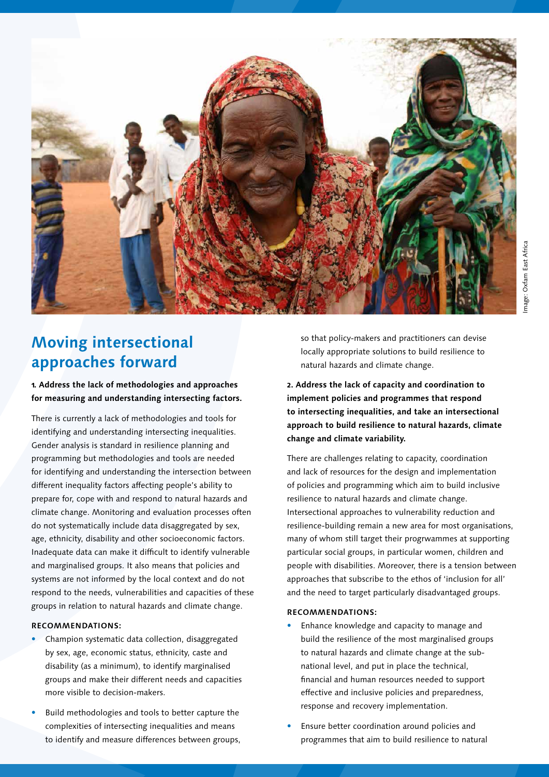

# **Moving intersectional approaches forward**

## **1. Address the lack of methodologies and approaches for measuring and understanding intersecting factors.**

There is currently a lack of methodologies and tools for identifying and understanding intersecting inequalities. Gender analysis is standard in resilience planning and programming but methodologies and tools are needed for identifying and understanding the intersection between different inequality factors affecting people's ability to prepare for, cope with and respond to natural hazards and climate change. Monitoring and evaluation processes often do not systematically include data disaggregated by sex, age, ethnicity, disability and other socioeconomic factors. Inadequate data can make it difficult to identify vulnerable and marginalised groups. It also means that policies and systems are not informed by the local context and do not respond to the needs, vulnerabilities and capacities of these groups in relation to natural hazards and climate change.

#### **RECOMMENDATIONS:**

- Champion systematic data collection, disaggregated by sex, age, economic status, ethnicity, caste and disability (as a minimum), to identify marginalised groups and make their different needs and capacities more visible to decision-makers.
- Build methodologies and tools to better capture the complexities of intersecting inequalities and means to identify and measure differences between groups,

so that policy-makers and practitioners can devise locally appropriate solutions to build resilience to natural hazards and climate change.

**2. Address the lack of capacity and coordination to implement policies and programmes that respond to intersecting inequalities, and take an intersectional approach to build resilience to natural hazards, climate change and climate variability.**

There are challenges relating to capacity, coordination and lack of resources for the design and implementation of policies and programming which aim to build inclusive resilience to natural hazards and climate change. Intersectional approaches to vulnerability reduction and resilience-building remain a new area for most organisations, many of whom still target their progrwammes at supporting particular social groups, in particular women, children and people with disabilities. Moreover, there is a tension between approaches that subscribe to the ethos of 'inclusion for all' and the need to target particularly disadvantaged groups.

#### **RECOMMENDATIONS:**

- Enhance knowledge and capacity to manage and build the resilience of the most marginalised groups to natural hazards and climate change at the subnational level, and put in place the technical, financial and human resources needed to support effective and inclusive policies and preparedness, response and recovery implementation.
- Ensure better coordination around policies and programmes that aim to build resilience to natural